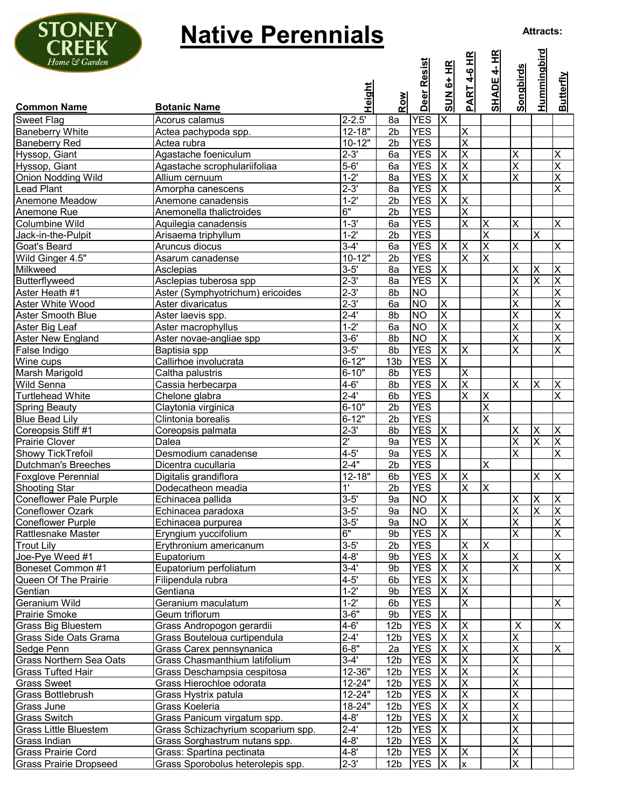

## **Native Perennials**

| CIILLII<br>Home & Garden             |                                    | <b>Height</b>      |                 | Deer Resist              | SUN 6+ HR               | <u>PART 4-6 HR</u>      | <b>SHADE 4- HR</b>        | <b>Songbirds</b>        | <u>Hummingbird</u>      | <b>Butterfly</b>             |
|--------------------------------------|------------------------------------|--------------------|-----------------|--------------------------|-------------------------|-------------------------|---------------------------|-------------------------|-------------------------|------------------------------|
| <b>Common Name</b>                   | <b>Botanic Name</b>                |                    | Row             |                          |                         |                         |                           |                         |                         |                              |
| <b>Sweet Flag</b>                    | Acorus calamus                     | $2 - 2.5'$         | 8a              | <b>YES</b>               | $\times$                |                         |                           |                         |                         |                              |
| <b>Baneberry White</b>               | Actea pachypoda spp.               | $12 - 18"$         | 2 <sub>b</sub>  | <b>YES</b>               |                         | $\times$                |                           |                         |                         |                              |
| <b>Baneberry Red</b>                 | Actea rubra                        | $10 - 12"$         | 2 <sub>b</sub>  | <b>YES</b>               |                         | $\overline{\mathsf{x}}$ |                           |                         |                         |                              |
| Hyssop, Giant                        | Agastache foeniculum               | $2 - 3'$           | 6a              | <b>YES</b>               | $\times$                | $\times$                |                           | X                       |                         | X                            |
| Hyssop, Giant                        | Agastache scrophulariifoliaa       | $5 - 6'$           | 6a              | <b>YES</b>               | $\overline{\mathsf{x}}$ | $\overline{\mathsf{x}}$ |                           | X                       |                         | $\overline{\mathsf{x}}$      |
| <b>Onion Nodding Wild</b>            | Allium cernuum                     | $1 - 2'$           | 8a              | <b>YES</b>               | $\overline{\mathsf{x}}$ | X                       |                           | X                       |                         | $\overline{\mathsf{x}}$      |
| <b>Lead Plant</b>                    | Amorpha canescens                  | $2 - 3'$           | 8a              | <b>YES</b>               | X                       |                         |                           |                         |                         | $\overline{\mathsf{x}}$      |
| Anemone Meadow                       | Anemone canadensis                 | $1 - 2'$           | 2 <sub>b</sub>  | <b>YES</b>               | $\overline{\mathsf{X}}$ | $\times$                |                           |                         |                         |                              |
| Anemone Rue                          | Anemonella thalictroides           | 6"                 | 2 <sub>b</sub>  | <b>YES</b>               |                         | $\overline{\mathsf{x}}$ |                           |                         |                         |                              |
| Columbine Wild                       | Aquilegia canadensis               | $1 - 3'$           | 6a              | <b>YES</b>               |                         | $\overline{\mathsf{x}}$ | X                         | X                       |                         | X                            |
| Jack-in-the-Pulpit                   | Arisaema triphyllum                | $1 - 2'$           | 2 <sub>b</sub>  | <b>YES</b>               |                         |                         | X                         |                         | $\times$                |                              |
| Goat's Beard                         | Aruncus diocus                     | $3-4'$             | 6a              | <b>YES</b>               | $\mathsf{X}$            | $\times$                | X                         | X                       |                         | X                            |
| Wild Ginger 4.5"                     | Asarum canadense                   | $10-12"$           | $\overline{2b}$ | <b>YES</b>               |                         | $\overline{\mathsf{x}}$ | X                         |                         |                         |                              |
| Milkweed                             | Asclepias                          | $3 - 5'$           | 8a              | <b>YES</b>               | $\overline{\mathsf{x}}$ |                         |                           | X                       | $\times$                | $\mathsf X$                  |
| Butterflyweed                        | Asclepias tuberosa spp             | $2 - 3'$           | 8a              | <b>YES</b>               | $\overline{X}$          |                         |                           | $\overline{\mathsf{x}}$ | $\overline{\mathsf{x}}$ | $\overline{\mathsf{x}}$      |
| Aster Heath #1                       | Aster (Symphyotrichum) ericoides   | $2 - 3'$           | 8b              | <b>NO</b>                |                         |                         |                           | X                       |                         | $\overline{\mathsf{x}}$      |
| Aster White Wood                     | Aster divaricatus                  | $2 - 3'$           | 6a              | $\overline{NO}$          | $\mathsf X$             |                         |                           | X                       |                         | $\overline{\mathsf{x}}$      |
| Aster Smooth Blue                    | Aster laevis spp.                  | $2 - 4'$           | 8b              | <b>NO</b>                | ΙX                      |                         |                           | X                       |                         | $\overline{\mathsf{x}}$      |
| Aster Big Leaf                       | Aster macrophyllus                 | $1 - 2'$           | 6a              | <b>NO</b>                | $\overline{\mathsf{x}}$ |                         |                           | $\overline{\mathsf{x}}$ |                         | $\overline{\mathsf{x}}$      |
| <b>Aster New England</b>             | Aster novae-angliae spp            | $3 - 6'$           | 8b              | <b>NO</b>                | $\overline{\mathsf{x}}$ |                         |                           | X                       |                         | $\overline{\mathsf{x}}$      |
| False Indigo                         | Baptisia spp                       | $3 - 5'$           | 8b              | <b>YES</b>               | $\overline{\mathsf{x}}$ | ΙX                      |                           | X                       |                         | $\overline{\mathsf{x}}$      |
| Wine cups                            | Callirhoe involucrata              | $6 - 12"$          | 13 <sub>b</sub> | <b>YES</b>               | $\overline{\mathsf{x}}$ |                         |                           |                         |                         |                              |
| Marsh Marigold                       | Caltha palustris                   | $6 - 10"$          | 8b              | <b>YES</b>               |                         | ΙX                      |                           |                         |                         |                              |
| Wild Senna                           | Cassia herbecarpa                  | $4 - 6'$           | 8b              | <b>YES</b>               | $\overline{\mathsf{X}}$ | $\overline{\mathsf{x}}$ |                           | X                       | $\times$                | $\mathsf X$                  |
| <b>Turtlehead White</b>              | Chelone glabra                     | $2-4'$             | 6b              | <b>YES</b>               |                         | $\overline{\mathsf{x}}$ | $\boldsymbol{\mathsf{X}}$ |                         |                         | $\overline{\mathsf{x}}$      |
| <b>Spring Beauty</b>                 | Claytonia virginica                | $6 - 10"$          | 2 <sub>b</sub>  | <b>YES</b>               |                         |                         | X                         |                         |                         |                              |
| <b>Blue Bead Lily</b>                | Clintonia borealis                 | $6 - 12"$          | 2 <sub>b</sub>  | <b>YES</b>               |                         |                         | $\overline{\mathsf{x}}$   |                         |                         |                              |
| Coreopsis Stiff #1                   | Coreopsis palmata                  | $2 - 3'$           | 8b              | <b>YES</b>               | $\mathsf{X}$            |                         |                           | X                       | X                       | $\overline{\mathsf{X}}$      |
| <b>Prairie Clover</b>                | Dalea                              | $\overline{2}$     | 9a              | <b>YES</b>               | $\overline{\mathsf{x}}$ |                         |                           | X                       | $\overline{\mathsf{x}}$ | $\overline{\mathsf{x}}$      |
| Showy TickTrefoil                    | Desmodium canadense                | $4-5'$             | 9a              | <b>YES</b>               | $\overline{\mathsf{x}}$ |                         |                           | X                       |                         | $\overline{\mathsf{x}}$      |
| <b>Dutchman's Breeches</b>           | Dicentra cucullaria                | $2 - 4"$           | 2 <sub>b</sub>  | <b>YES</b>               |                         |                         | X                         |                         |                         |                              |
| <b>Foxglove Perennial</b>            | Digitalis grandiflora              | $12 - 18"$         | 6b              | <b>YES</b>               | $\sf X$                 | $\times$                |                           |                         | X                       | X                            |
| <b>Shooting Star</b>                 | Dodecatheon meadia                 | 1'                 | 2 <sub>b</sub>  | <b>YES</b>               |                         | $\times$                | X                         |                         |                         |                              |
| <b>Coneflower Pale Purple</b>        | Echinacea pallida                  | $3 - 5'$           | 9a              | <b>NO</b>                | $\mathsf X$             |                         |                           | X                       | $\times$                | $\mathsf X$                  |
| <b>Coneflower Ozark</b>              | Echinacea paradoxa                 | $3 - 5'$           | 9а              | <b>NO</b>                | ΙX                      |                         |                           | $\overline{\mathsf{X}}$ | X                       | ΙX                           |
| <b>Coneflower Purple</b>             | Echinacea purpurea                 | $3 - 5'$<br>6"     | 9a              | <b>NO</b>                | $\overline{\mathsf{x}}$ | $\times$                |                           | $\overline{\mathsf{x}}$ |                         | $\overline{\mathsf{x}}$      |
| Rattlesnake Master                   | Eryngium yuccifolium               |                    | 9b              | <b>YES</b>               | $\overline{\mathsf{x}}$ |                         |                           | $\overline{\mathsf{x}}$ |                         | X                            |
| <b>Trout Lily</b>                    | Erythronium americanum             | $3-5'$<br>$4 - 8'$ | 2 <sub>b</sub>  | <b>YES</b>               | $\overline{\mathsf{x}}$ | $\times$<br>X           | X                         |                         |                         |                              |
| Joe-Pye Weed #1<br>Boneset Common #1 | Eupatorium                         | $3-4'$             | 9b<br>9b        | <b>YES</b><br><b>YES</b> | $\overline{\mathsf{x}}$ | X                       |                           | Χ<br>$\overline{X}$     |                         | X<br>$\overline{\mathsf{x}}$ |
|                                      | Eupatorium perfoliatum             | $4 - 5'$           | 6b              | <b>YES</b>               | $\mathsf{X}$            | X                       |                           |                         |                         |                              |
| Queen Of The Prairie<br>Gentian      | Filipendula rubra                  | $1 - 2'$           | 9b              | <b>YES</b>               | $\times$                | $\times$                |                           |                         |                         |                              |
| Geranium Wild                        | Gentiana<br>Geranium maculatum     | $1 - 2'$           |                 | <b>YES</b>               |                         | $\times$                |                           |                         |                         | X                            |
| Prairie Smoke                        | Geum triflorum                     | $3 - 6"$           | 6b<br>9b        | <b>YES</b>               | $\mathsf{X}$            |                         |                           |                         |                         |                              |
| <b>Grass Big Bluestem</b>            | Grass Andropogon gerardii          | $4 - 6'$           | 12 <sub>b</sub> | <b>YES</b>               | $\mathsf{X}$            | $\times$                |                           | X                       |                         | X                            |
| Grass Side Oats Grama                | Grass Bouteloua curtipendula       | $2-4'$             | 12 <sub>b</sub> | <b>YES</b>               | X                       | $\times$                |                           | X                       |                         |                              |
| Sedge Penn                           | Grass Carex pennsynanica           | $6 - 8"$           | 2a              | <b>YES</b>               | $\sf X$                 | $\overline{\mathsf{x}}$ |                           | X                       |                         | X                            |
| Grass Northern Sea Oats              | Grass Chasmanthium latifolium      | $3-4'$             | 12 <sub>b</sub> | <b>YES</b>               | ΙX                      | $\overline{\mathsf{x}}$ |                           | X                       |                         |                              |
| <b>Grass Tufted Hair</b>             | Grass Deschampsia cespitosa        | 12-36"             | 12 <sub>b</sub> | <b>YES</b>               | $\overline{\mathsf{x}}$ | X                       |                           | X                       |                         |                              |
| <b>Grass Sweet</b>                   | Grass Hierochloe odorata           | 12-24"             | 12 <sub>b</sub> | <b>YES</b>               | $\overline{\mathsf{x}}$ | $\overline{\mathsf{x}}$ |                           | X                       |                         |                              |
| Grass Bottlebrush                    | Grass Hystrix patula               | 12-24"             | 12 <sub>b</sub> | <b>YES</b>               | $\pmb{\mathsf{X}}$      | $\times$                |                           | Χ                       |                         |                              |
| Grass June                           | Grass Koeleria                     | 18-24"             | 12 <sub>b</sub> | <b>YES</b>               | X                       | X                       |                           | X                       |                         |                              |
| <b>Grass Switch</b>                  | Grass Panicum virgatum spp.        | $4 - 8'$           | 12 <sub>b</sub> | <b>YES</b>               | X                       | $\times$                |                           | Χ                       |                         |                              |
| <b>Grass Little Bluestem</b>         | Grass Schizachyrium scoparium spp. | $2 - 4'$           | 12 <sub>b</sub> | <b>YES</b>               | $\overline{\mathsf{X}}$ |                         |                           | X                       |                         |                              |
| Grass Indian                         | Grass Sorghastrum nutans spp.      | $4 - 8'$           | 12 <sub>b</sub> | <b>YES</b>               | $\overline{\mathsf{X}}$ |                         |                           | X                       |                         |                              |
| Grass Prairie Cord                   | Grass: Spartina pectinata          | $4 - 8'$           | 12 <sub>b</sub> | <b>YES</b>               | $\overline{\mathsf{X}}$ | $\times$                |                           | X                       |                         |                              |
| <b>Grass Prairie Dropseed</b>        | Grass Sporobolus heterolepis spp.  | $2 - 3'$           | 12 <sub>b</sub> | <b>YES</b>               | $\overline{\mathsf{x}}$ | $\mathsf{x}$            |                           | X                       |                         |                              |
|                                      |                                    |                    |                 |                          |                         |                         |                           |                         |                         |                              |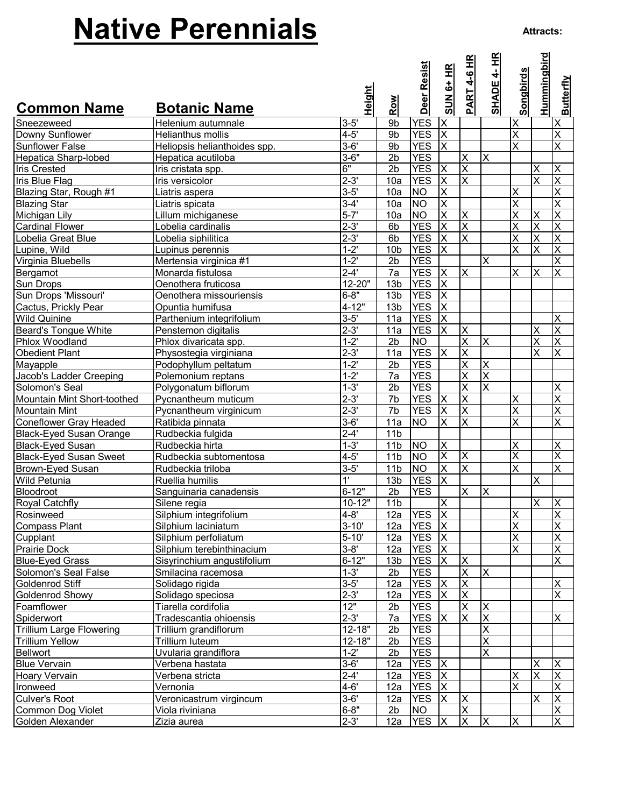## **Native Perennials**

| <b>Common Name</b>              | <b>Botanic Name</b>          | Height         | Row             | Deer Resist    | SUN 6+ HR               | HK<br>$4-6$<br><b>PART</b> | 4- HR<br><b>SHADE</b>   | <b>Songbirds</b>        | <u>Hummingbird</u>      | <b>Butterfly</b>        |
|---------------------------------|------------------------------|----------------|-----------------|----------------|-------------------------|----------------------------|-------------------------|-------------------------|-------------------------|-------------------------|
| Sneezeweed                      | Helenium autumnale           | $3 - 5'$       | 9b              | <b>YES</b>     | $\overline{\mathsf{x}}$ |                            |                         | X                       |                         | X                       |
| Downy Sunflower                 | Helianthus mollis            | $4 - 5'$       | 9b              | <b>YES</b>     | $\overline{\mathsf{x}}$ |                            |                         | X                       |                         | $\overline{\mathsf{x}}$ |
| <b>Sunflower False</b>          | Heliopsis helianthoides spp. | $3 - 6'$       | 9b              | <b>YES</b>     | $\overline{\mathsf{x}}$ |                            |                         | X                       |                         | $\overline{\mathsf{x}}$ |
| Hepatica Sharp-lobed            | Hepatica acutiloba           | $3 - 6"$       | $\overline{2b}$ | <b>YES</b>     |                         | $\overline{\mathsf{x}}$    | $\overline{\mathsf{x}}$ |                         |                         |                         |
| <b>Iris Crested</b>             | Iris cristata spp.           | 6"             | 2 <sub>b</sub>  | <b>YES</b>     | $\mathsf{X}$            | X                          |                         |                         | X                       | X                       |
| Iris Blue Flag                  | Iris versicolor              | $2 - 3'$       | 10a             | <b>YES</b>     | $\overline{\mathsf{x}}$ | $\overline{\mathsf{x}}$    |                         |                         | X                       | $\overline{\mathsf{x}}$ |
| Blazing Star, Rough #1          | Liatris aspera               | $3 - 5'$       | 10a             | <b>NO</b>      | $\pmb{\mathsf{X}}$      |                            |                         | X                       |                         | $\overline{\mathsf{x}}$ |
| <b>Blazing Star</b>             | Liatris spicata              | $3 - 4'$       | 10a             | <b>NO</b>      | $\overline{\mathsf{x}}$ |                            |                         | $\overline{\mathsf{x}}$ |                         | $\overline{\mathsf{x}}$ |
| Michigan Lily                   | Lillum michiganese           | $5 - 7'$       | 10a             | <b>NO</b>      | $\overline{\mathsf{x}}$ | $\times$                   |                         | X                       | X                       | $\overline{\mathsf{x}}$ |
| <b>Cardinal Flower</b>          | Lobelia cardinalis           | $2 - 3'$       | 6 <sub>b</sub>  | <b>YES</b>     | ΙX                      | $\times$                   |                         | X                       | $\overline{\mathsf{x}}$ | $\overline{\mathsf{x}}$ |
| Lobelia Great Blue              | Lobelia siphilitica          | $2 - 3'$       | 6 <sub>b</sub>  | <b>YES</b>     | $\overline{\mathsf{x}}$ | $\overline{\mathsf{x}}$    |                         | X                       | $\overline{\mathsf{x}}$ | $\overline{X}$          |
| Lupine, Wild                    | Lupinus perennis             | $1 - 2'$       | 10 <sub>b</sub> | <b>YES</b>     | $\overline{\mathsf{X}}$ |                            |                         | X                       | $\overline{\mathsf{x}}$ | $\overline{\mathsf{X}}$ |
| Virginia Bluebells              | Mertensia virginica #1       | $1 - 2'$       | 2 <sub>b</sub>  | <b>YES</b>     |                         |                            | X                       |                         |                         | $\overline{\mathsf{x}}$ |
| Bergamot                        | Monarda fistulosa            | $2 - 4'$       | 7a              | <b>YES</b>     | $\overline{\mathsf{x}}$ | X                          |                         | $\times$                | X                       | $\overline{\mathsf{x}}$ |
| Sun Drops                       | Oenothera fruticosa          | 12-20"         | 13 <sub>b</sub> | <b>YES</b>     | $\mathsf{X}$            |                            |                         |                         |                         |                         |
| Sun Drops 'Missouri'            | Oenothera missouriensis      | $6 - 8"$       | 13 <sub>b</sub> | <b>YES</b>     | X                       |                            |                         |                         |                         |                         |
| Cactus, Prickly Pear            | Opuntia humifusa             | $4 - 12"$      | 13 <sub>b</sub> | <b>YES</b>     | $\overline{\mathsf{x}}$ |                            |                         |                         |                         |                         |
| Wild Quinine                    | Parthenium integrifolium     | $3 - 5'$       | 11a             | <b>YES</b>     | $\overline{\mathsf{x}}$ |                            |                         |                         |                         | Χ                       |
| <b>Beard's Tongue White</b>     | Penstemon digitalis          | $2 - 3'$       | 11a             | <b>YES</b>     | X                       | $\times$                   |                         |                         | Χ                       | $\overline{\mathsf{x}}$ |
| Phlox Woodland                  | Phlox divaricata spp.        | $1 - 2'$       | 2 <sub>b</sub>  | <b>NO</b>      |                         | $\overline{\mathsf{x}}$    | $\overline{\mathsf{x}}$ |                         | $\overline{\mathsf{x}}$ | $\overline{\mathsf{x}}$ |
| <b>Obedient Plant</b>           | Physostegia virginiana       | $2 - 3'$       | 11a             | <b>YES</b>     | $\overline{\mathsf{x}}$ | $\times$                   |                         |                         | X                       | X                       |
| Mayapple                        | Podophyllum peltatum         | $1 - 2'$       | 2 <sub>b</sub>  | <b>YES</b>     |                         | X                          | Χ                       |                         |                         |                         |
| Jacob's Ladder Creeping         | Polemonium reptans           | $1 - 2'$       | 7a              | <b>YES</b>     |                         | X                          | X                       |                         |                         |                         |
| Solomon's Seal                  | Polygonatum biflorum         | $1 - 3'$       | 2 <sub>b</sub>  | <b>YES</b>     |                         | $\overline{\mathsf{x}}$    | $\overline{\mathsf{x}}$ |                         |                         | X                       |
| Mountain Mint Short-toothed     | Pycnantheum muticum          | $2 - 3'$       | $\overline{7b}$ | <b>YES</b>     | $\mathsf{X}$            | $\overline{\mathsf{x}}$    |                         | X                       |                         | $\overline{\mathsf{x}}$ |
| <b>Mountain Mint</b>            | Pycnantheum virginicum       | $2 - 3'$       | $\overline{7b}$ | <b>YES</b>     | $\overline{\mathsf{x}}$ | X                          |                         | $\overline{\mathsf{x}}$ |                         | $\overline{X}$          |
| <b>Coneflower Gray Headed</b>   | Ratibida pinnata             | $3 - 6'$       | 11a             | N <sub>O</sub> | $\overline{\mathsf{x}}$ | $\times$                   |                         | X                       |                         | $\overline{\mathsf{x}}$ |
| <b>Black-Eyed Susan Orange</b>  | Rudbeckia fulgida            | $2 - 4'$       | 11 <sub>b</sub> |                |                         |                            |                         |                         |                         |                         |
| <b>Black-Eyed Susan</b>         | Rudbeckia hirta              | $1 - 3'$       | 11 <sub>b</sub> | <b>NO</b>      | $\mathsf{\overline{X}}$ |                            |                         | Χ                       |                         | $\overline{\mathsf{x}}$ |
| <b>Black-Eyed Susan Sweet</b>   | Rudbeckia subtomentosa       | $4 - 5'$       | 11 <sub>b</sub> | <b>NO</b>      | $\times$                | X                          |                         | $\overline{\mathsf{x}}$ |                         | $\overline{\mathsf{x}}$ |
| <b>Brown-Eyed Susan</b>         | Rudbeckia triloba            | $3 - 5'$       | 11 <sub>b</sub> | <b>NO</b>      | X                       | ΙX                         |                         | X                       |                         | $\overline{\mathsf{x}}$ |
| Wild Petunia                    | Ruellia humilis              | $\overline{1}$ | 13 <sub>b</sub> | <b>YES</b>     | X                       |                            |                         |                         | X                       |                         |
| Bloodroot                       | Sanguinaria canadensis       | $6 - 12"$      | 2 <sub>b</sub>  | <b>YES</b>     |                         | $\times$                   | X                       |                         |                         |                         |
| <b>Royal Catchfly</b>           | Silene regia                 | $10 - 12"$     | 11 <sub>b</sub> |                | $\overline{\mathsf{x}}$ |                            |                         |                         | $\overline{\mathsf{x}}$ | X                       |
| Rosinweed                       | Silphium integrifolium       | $4 - 8'$       | 12a             | <b>YES</b>     | $\overline{\mathsf{X}}$ |                            |                         | X                       |                         | $\overline{\mathsf{X}}$ |
| <b>Compass Plant</b>            | Silphium laciniatum          | $3 - 10'$      | 12a             | <b>YES</b>     | $\overline{X}$          |                            |                         | X                       |                         | $\overline{\mathsf{x}}$ |
| Cupplant                        | Silphium perfoliatum         | $5 - 10'$      | 12a             | <b>YES</b>     | $\mathsf{X}$            |                            |                         | X                       |                         | $\overline{\mathsf{x}}$ |
| <b>Prairie Dock</b>             | Silphium terebinthinacium    | $3 - 8'$       | 12a             | <b>YES</b>     | $\overline{X}$          |                            |                         | X                       |                         | $\overline{\mathsf{x}}$ |
| <b>Blue-Eyed Grass</b>          | Sisyrinchium angustifolium   | $6 - 12"$      | 13 <sub>b</sub> | <b>YES</b>     | $\overline{\mathsf{x}}$ | $\times$                   |                         |                         |                         | $\overline{X}$          |
| Solomon's Seal False            | Smilacina racemosa           | $1 - 3'$       | 2 <sub>b</sub>  | <b>YES</b>     |                         | $\times$                   | X                       |                         |                         |                         |
| Goldenrod Stiff                 | Solidago rigida              | $3 - 5'$       | 12a             | <b>YES</b>     | $\mathsf{X}$            | X                          |                         |                         |                         | Χ                       |
| <b>Goldenrod Showy</b>          | Solidago speciosa            | $2 - 3'$       | 12a             | <b>YES</b>     | X                       | X                          |                         |                         |                         | $\overline{\mathsf{x}}$ |
| Foamflower                      | Tiarella cordifolia          | 12"            | 2 <sub>b</sub>  | <b>YES</b>     |                         | $\times$                   | $\overline{\mathsf{X}}$ |                         |                         |                         |
| Spiderwort                      | Tradescantia ohioensis       | $2 - 3'$       | 7a              | <b>YES</b>     | $\mathsf{X}$            | X                          | $\overline{\mathsf{x}}$ |                         |                         | X                       |
| <b>Trillium Large Flowering</b> | Trillium grandiflorum        | $12 - 18"$     | 2 <sub>b</sub>  | <b>YES</b>     |                         |                            | X                       |                         |                         |                         |
| <b>Trillium Yellow</b>          | Trillium luteum              | $12 - 18"$     | 2 <sub>b</sub>  | <b>YES</b>     |                         |                            | $\overline{\mathsf{x}}$ |                         |                         |                         |
| <b>Bellwort</b>                 | Uvularia grandiflora         | $1 - 2'$       | 2 <sub>b</sub>  | <b>YES</b>     |                         |                            | $\overline{\mathsf{x}}$ |                         |                         |                         |
| <b>Blue Vervain</b>             | Verbena hastata              | $3 - 6'$       | 12a             | <b>YES</b>     | $\mathsf{X}$            |                            |                         |                         | X                       | $\sf X$                 |
| Hoary Vervain                   | Verbena stricta              | $2 - 4'$       | 12a             | <b>YES</b>     | $\mathsf{X}$            |                            |                         | Χ                       | $\overline{\mathsf{x}}$ | $\overline{\mathsf{x}}$ |
| Ironweed                        | Vernonia                     | $4 - 6'$       | 12a             | <b>YES</b>     | $\mathsf{X}$            |                            |                         | Χ                       |                         | $\overline{X}$          |
| Culver's Root                   | Veronicastrum virgincum      | $3 - 6'$       | 12a             | <b>YES</b>     | $\mathsf{X}$            | $\times$                   |                         |                         | $\overline{\mathsf{x}}$ | $\overline{\mathsf{X}}$ |
| Common Dog Violet               | Viola riviniana              | $6 - 8"$       | 2 <sub>b</sub>  | <b>NO</b>      |                         | X                          |                         |                         |                         | $\overline{X}$          |
| Golden Alexander                | Zizia aurea                  | $2 - 3'$       | 12a             | <b>YES</b>     | $\overline{\mathsf{x}}$ | $\overline{\mathsf{x}}$    | X                       | Χ                       |                         | $\overline{\mathsf{x}}$ |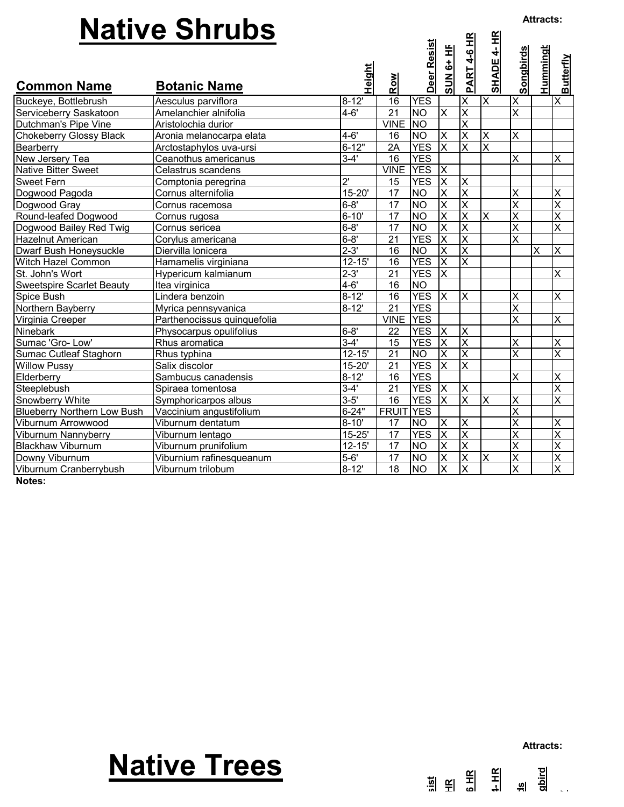|                                               | <b>Native Shrubs</b>                            |                       |                       |                          |                               |                                                    |                           |                              | <b>Attracts:</b>          |                              |
|-----------------------------------------------|-------------------------------------------------|-----------------------|-----------------------|--------------------------|-------------------------------|----------------------------------------------------|---------------------------|------------------------------|---------------------------|------------------------------|
|                                               |                                                 | Height                |                       | Deer Resist              | <b>SUN 6+ HE</b>              | PART 4-6 HR                                        | <b>SHADE 4- HR</b>        | <b>Songbirds</b>             | <u>Hummingt</u>           | <b>Butterfly</b>             |
| <b>Common Name</b>                            | <b>Botanic Name</b>                             |                       | Row                   |                          |                               |                                                    |                           |                              |                           |                              |
| Buckeye, Bottlebrush                          | Aesculus parviflora                             | $8 - 12'$             | 16                    | <b>YES</b>               |                               | X                                                  | $\boldsymbol{\mathsf{X}}$ | X                            |                           | $\overline{\mathsf{x}}$      |
| Serviceberry Saskatoon                        | Amelanchier alnifolia                           | $4 - 6'$              | $\overline{21}$       | <b>NO</b>                | $\times$                      | $\overline{\mathsf{x}}$                            |                           | $\overline{\mathsf{x}}$      |                           |                              |
| Dutchman's Pipe Vine                          | Aristolochia durior                             |                       | <b>VINE</b>           | <b>NO</b>                |                               | $\overline{\mathsf{x}}$                            |                           |                              |                           |                              |
| <b>Chokeberry Glossy Black</b>                | Aronia melanocarpa elata                        | $4 - 6'$              | 16                    | <b>NO</b>                | $\sf X$                       | $\overline{\mathsf{x}}$                            | X                         | X                            |                           |                              |
| Bearberry                                     | Arctostaphylos uva-ursi<br>Ceanothus americanus | $6 - 12"$<br>$3 - 4'$ | 2A<br>16              | <b>YES</b><br><b>YES</b> | $\overline{\mathsf{x}}$       | X                                                  | $\overline{\mathsf{x}}$   | X                            |                           | X                            |
| New Jersery Tea<br><b>Native Bitter Sweet</b> | Celastrus scandens                              |                       | <b>VINE YES</b>       |                          | $\times$                      |                                                    |                           |                              |                           |                              |
| <b>Sweet Fern</b>                             | Comptonia peregrina                             | $2^{\prime}$          | 15                    | <b>YES</b>               | $\overline{\mathsf{x}}$       | X                                                  |                           |                              |                           |                              |
| Dogwood Pagoda                                | Cornus alternifolia                             | $15 - 20'$            | 17                    | <b>NO</b>                | $\sf X$                       | $\overline{\mathsf{x}}$                            |                           | Χ                            |                           | X                            |
| Dogwood Gray                                  | Cornus racemosa                                 | $6 - 8'$              | 17                    | <b>NO</b>                | $\overline{\mathsf{x}}$       | $\overline{\mathsf{x}}$                            |                           | $\overline{\mathsf{x}}$      |                           | $\overline{\mathsf{x}}$      |
| Round-leafed Dogwood                          | Cornus rugosa                                   | $6 - 10'$             | 17                    | <b>NO</b>                | $\overline{\mathsf{x}}$       | $\overline{\mathsf{x}}$                            | ΙX                        | $\overline{\mathsf{x}}$      |                           | $\overline{\mathsf{x}}$      |
| Dogwood Bailey Red Twig                       | Cornus sericea                                  | $6 - 8'$              | 17                    | N <sub>O</sub>           | $\overline{\mathsf{x}}$       | $\overline{\mathsf{x}}$                            |                           | $\overline{\mathsf{x}}$      |                           | $\overline{\mathsf{x}}$      |
| <b>Hazelnut American</b>                      | Corylus americana                               | $6 - 8'$              | 21                    | <b>YES</b>               | $\overline{\mathsf{x}}$       | $\overline{\mathsf{x}}$                            |                           | X                            |                           |                              |
| Dwarf Bush Honeysuckle                        | Diervilla lonicera                              | $2 - 3'$              | 16                    | <b>NO</b>                | $\overline{\mathsf{x}}$       | $\overline{\mathsf{x}}$                            |                           |                              | X                         | X                            |
| Witch Hazel Common                            | Hamamelis virginiana                            | $12 - 15'$            | 16                    | <b>YES</b>               | $\overline{\mathsf{x}}$       | X                                                  |                           |                              |                           |                              |
| St. John's Wort                               | Hypericum kalmianum                             | $2 - 3'$              | 21                    | <b>YES</b>               | $\overline{\mathsf{X}}$       |                                                    |                           |                              |                           | X                            |
| <b>Sweetspire Scarlet Beauty</b>              | Itea virginica                                  | $4 - 6'$              | 16                    | <b>NO</b>                |                               |                                                    |                           |                              |                           |                              |
| Spice Bush                                    | Lindera benzoin                                 | $8 - 12'$             | 16                    | <b>YES</b>               | X                             | X                                                  |                           | Χ                            |                           | X                            |
| Northern Bayberry                             | Myrica pennsyvanica                             | $8 - 12'$             | $\overline{21}$       | <b>YES</b>               |                               |                                                    |                           | $\overline{\mathsf{x}}$      |                           |                              |
| Virginia Creeper                              | Parthenocissus quinquefolia                     |                       | <b>VINE</b>           | <b>YES</b>               |                               |                                                    |                           | X                            |                           | X                            |
| <b>Ninebark</b>                               | Physocarpus opulifolius                         | $6 - 8'$              | 22                    | <b>YES</b>               | $\overline{\mathsf{x}}$<br>ĪΧ | $\overline{\mathsf{x}}$<br>$\overline{\mathsf{x}}$ |                           |                              |                           |                              |
| Sumac 'Gro-Low'                               | Rhus aromatica                                  | $3-4'$<br>$12 - 15'$  | 15<br>$\overline{21}$ | <b>YES</b><br><b>NO</b>  | $\overline{\mathsf{x}}$       | $\overline{\mathsf{x}}$                            |                           | X<br>$\overline{\mathsf{x}}$ |                           | X<br>$\overline{\mathsf{x}}$ |
| Sumac Cutleaf Staghorn<br><b>Willow Pussy</b> | Rhus typhina<br>Salix discolor                  | $\overline{1}5 - 20$  | 21                    | <b>YES</b>               | X                             | $\overline{\mathsf{x}}$                            |                           |                              |                           |                              |
| Elderberry                                    | Sambucus canadensis                             | $8 - 12'$             | 16                    | <b>YES</b>               |                               |                                                    |                           | X                            |                           | X                            |
| Steeplebush                                   | Spiraea tomentosa                               | $3 - 4'$              | 21                    | <b>YES</b>               | $\mathsf{X}$                  | X                                                  |                           |                              |                           | $\overline{\mathsf{x}}$      |
| Snowberry White                               | Symphoricarpos albus                            | $3 - 5'$              | 16                    | <b>YES</b>               | $\overline{\mathsf{x}}$       | $\overline{\mathsf{x}}$                            | X                         | Χ                            |                           | $\overline{\mathsf{x}}$      |
| <b>Blueberry Northern Low Bush</b>            | Vaccinium angustifolium                         | $6 - 24"$             | FRUIT YES             |                          |                               |                                                    |                           | $\overline{\mathsf{x}}$      |                           |                              |
| Viburnum Arrowwood                            | Viburnum dentatum                               | $\overline{8} - 10$   | 17                    | <b>NO</b>                | X                             | X                                                  |                           | $\overline{\mathsf{x}}$      |                           | X                            |
| Viburnum Nannyberry                           | Viburnum lentago                                | $\overline{15} - 25$  | 17                    | <b>YES</b>               | $\overline{\mathsf{x}}$       | $\overline{\mathsf{x}}$                            |                           | X                            |                           | $\overline{\mathsf{x}}$      |
| <b>Blackhaw Viburnum</b>                      | Viburnum prunifolium                            | $12 - 15'$            | $\overline{17}$       | <b>NO</b>                | $\overline{\mathsf{x}}$       | $\overline{\mathsf{x}}$                            |                           | X                            |                           | $\overline{\mathsf{x}}$      |
| Downy Viburnum                                | Viburnium rafinesqueanum                        | $5-6'$                | 17                    | <b>NO</b>                | $\times$                      | $\overline{\mathsf{x}}$                            | $\times$                  | $\overline{\mathsf{x}}$      |                           | $\overline{\mathsf{x}}$      |
| Viburnum Cranberrybush                        | Viburnum trilobum                               | $8-12'$               | $\overline{18}$       | <b>NO</b>                | $\overline{\mathsf{x}}$       | $\overline{\mathsf{x}}$                            |                           | $\overline{\mathbf{x}}$      |                           | $\overline{\mathsf{x}}$      |
|                                               |                                                 |                       |                       |                          |                               |                                                    |                           |                              |                           |                              |
|                                               | <b>Native Trees</b>                             |                       |                       |                          |                               |                                                    |                           | 쒸                            | <b>Attracts:</b><br>gbird |                              |
|                                               |                                                 |                       |                       |                          |                               |                                                    |                           |                              |                           |                              |